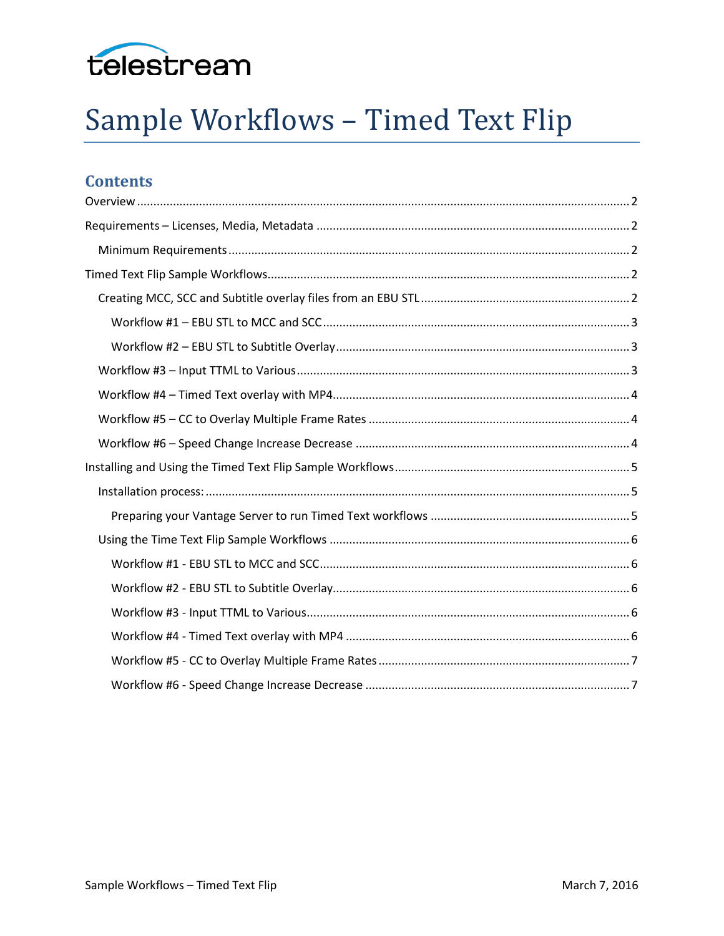

# Sample Workflows - Timed Text Flip

# **Contents**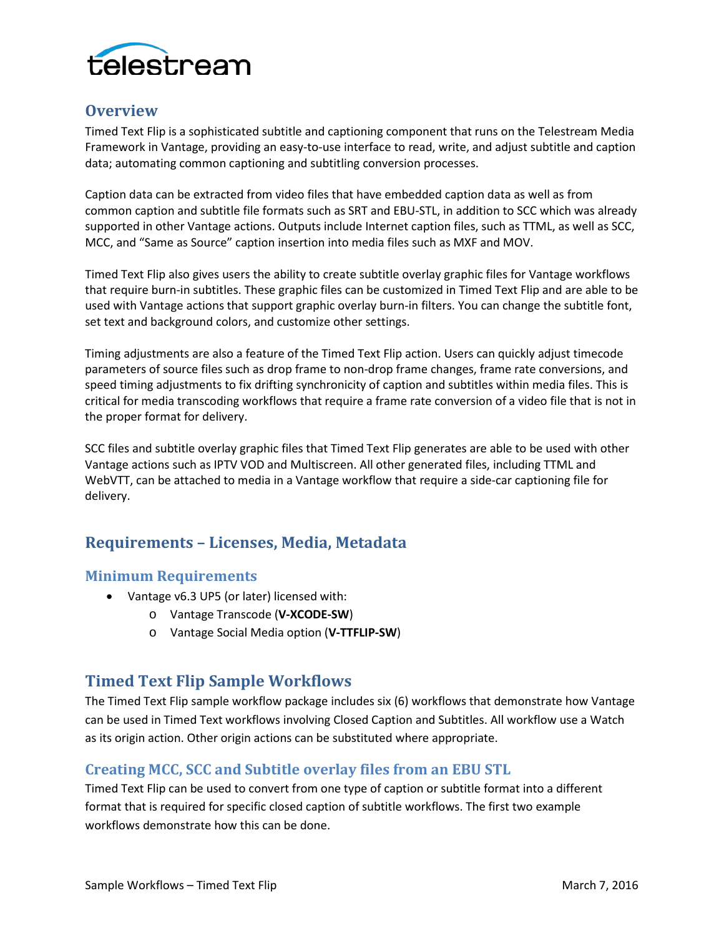

# <span id="page-1-0"></span>**Overview**

Timed Text Flip is a sophisticated subtitle and captioning component that runs on the Telestream Media Framework in Vantage, providing an easy-to-use interface to read, write, and adjust subtitle and caption data; automating common captioning and subtitling conversion processes.

Caption data can be extracted from video files that have embedded caption data as well as from common caption and subtitle file formats such as SRT and EBU-STL, in addition to SCC which was already supported in other Vantage actions. Outputs include Internet caption files, such as TTML, as well as SCC, MCC, and "Same as Source" caption insertion into media files such as MXF and MOV.

Timed Text Flip also gives users the ability to create subtitle overlay graphic files for Vantage workflows that require burn-in subtitles. These graphic files can be customized in Timed Text Flip and are able to be used with Vantage actions that support graphic overlay burn-in filters. You can change the subtitle font, set text and background colors, and customize other settings.

Timing adjustments are also a feature of the Timed Text Flip action. Users can quickly adjust timecode parameters of source files such as drop frame to non-drop frame changes, frame rate conversions, and speed timing adjustments to fix drifting synchronicity of caption and subtitles within media files. This is critical for media transcoding workflows that require a frame rate conversion of a video file that is not in the proper format for delivery.

SCC files and subtitle overlay graphic files that Timed Text Flip generates are able to be used with other Vantage actions such as IPTV VOD and Multiscreen. All other generated files, including TTML and WebVTT, can be attached to media in a Vantage workflow that require a side-car captioning file for delivery.

# <span id="page-1-1"></span>**Requirements – Licenses, Media, Metadata**

## <span id="page-1-2"></span>**Minimum Requirements**

- Vantage v6.3 UP5 (or later) licensed with:
	- o Vantage Transcode (**V-XCODE-SW**)
	- o Vantage Social Media option (**V-TTFLIP-SW**)

# <span id="page-1-3"></span>**Timed Text Flip Sample Workflows**

The Timed Text Flip sample workflow package includes six (6) workflows that demonstrate how Vantage can be used in Timed Text workflows involving Closed Caption and Subtitles. All workflow use a Watch as its origin action. Other origin actions can be substituted where appropriate.

# <span id="page-1-4"></span>**Creating MCC, SCC and Subtitle overlay files from an EBU STL**

Timed Text Flip can be used to convert from one type of caption or subtitle format into a different format that is required for specific closed caption of subtitle workflows. The first two example workflows demonstrate how this can be done.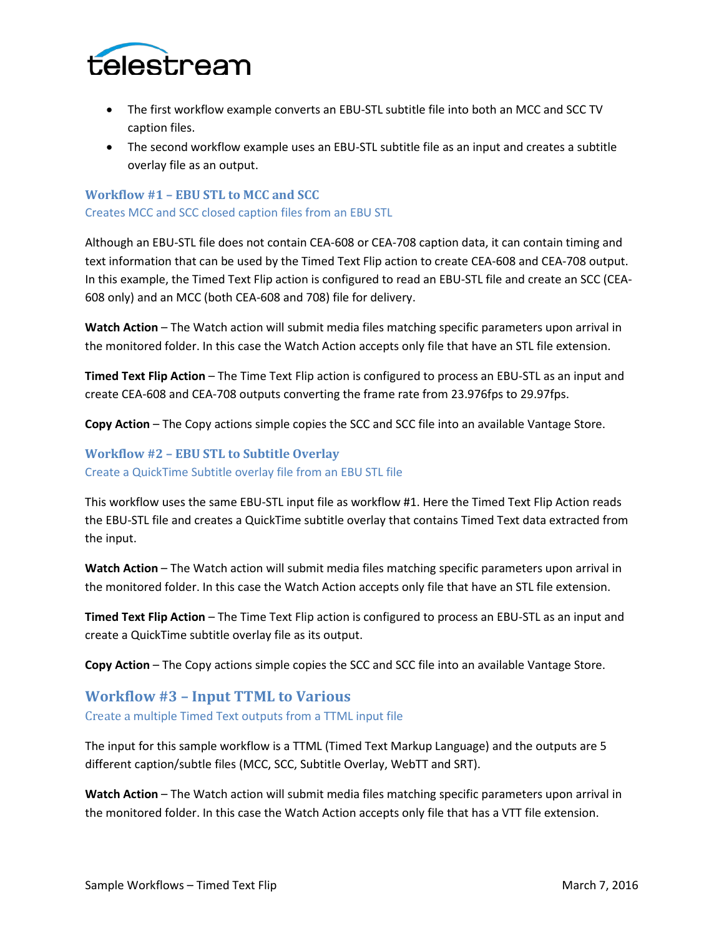

- The first workflow example converts an EBU-STL subtitle file into both an MCC and SCC TV caption files.
- The second workflow example uses an EBU-STL subtitle file as an input and creates a subtitle overlay file as an output.

# <span id="page-2-0"></span>**Workflow #1 – EBU STL to MCC and SCC** Creates MCC and SCC closed caption files from an EBU STL

Although an EBU-STL file does not contain CEA-608 or CEA-708 caption data, it can contain timing and text information that can be used by the Timed Text Flip action to create CEA-608 and CEA-708 output. In this example, the Timed Text Flip action is configured to read an EBU-STL file and create an SCC (CEA-608 only) and an MCC (both CEA-608 and 708) file for delivery.

**Watch Action** – The Watch action will submit media files matching specific parameters upon arrival in the monitored folder. In this case the Watch Action accepts only file that have an STL file extension.

**Timed Text Flip Action** – The Time Text Flip action is configured to process an EBU-STL as an input and create CEA-608 and CEA-708 outputs converting the frame rate from 23.976fps to 29.97fps.

**Copy Action** – The Copy actions simple copies the SCC and SCC file into an available Vantage Store.

## <span id="page-2-1"></span>**Workflow #2 – EBU STL to Subtitle Overlay** Create a QuickTime Subtitle overlay file from an EBU STL file

This workflow uses the same EBU-STL input file as workflow #1. Here the Timed Text Flip Action reads the EBU-STL file and creates a QuickTime subtitle overlay that contains Timed Text data extracted from the input.

**Watch Action** – The Watch action will submit media files matching specific parameters upon arrival in the monitored folder. In this case the Watch Action accepts only file that have an STL file extension.

**Timed Text Flip Action** – The Time Text Flip action is configured to process an EBU-STL as an input and create a QuickTime subtitle overlay file as its output.

**Copy Action** – The Copy actions simple copies the SCC and SCC file into an available Vantage Store.

# <span id="page-2-2"></span>**Workflow #3 – Input TTML to Various**

Create a multiple Timed Text outputs from a TTML input file

The input for this sample workflow is a TTML (Timed Text Markup Language) and the outputs are 5 different caption/subtle files (MCC, SCC, Subtitle Overlay, WebTT and SRT).

**Watch Action** – The Watch action will submit media files matching specific parameters upon arrival in the monitored folder. In this case the Watch Action accepts only file that has a VTT file extension.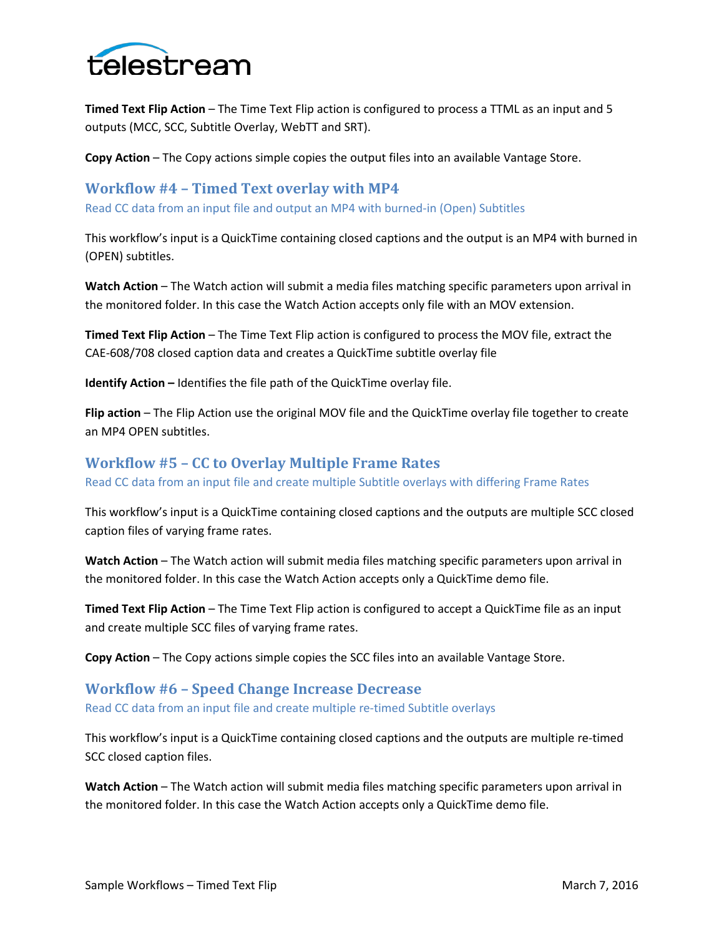

**Timed Text Flip Action** – The Time Text Flip action is configured to process a TTML as an input and 5 outputs (MCC, SCC, Subtitle Overlay, WebTT and SRT).

**Copy Action** – The Copy actions simple copies the output files into an available Vantage Store.

## <span id="page-3-0"></span>**Workflow #4 – Timed Text overlay with MP4**

Read CC data from an input file and output an MP4 with burned-in (Open) Subtitles

This workflow's input is a QuickTime containing closed captions and the output is an MP4 with burned in (OPEN) subtitles.

**Watch Action** – The Watch action will submit a media files matching specific parameters upon arrival in the monitored folder. In this case the Watch Action accepts only file with an MOV extension.

**Timed Text Flip Action** – The Time Text Flip action is configured to process the MOV file, extract the CAE-608/708 closed caption data and creates a QuickTime subtitle overlay file

**Identify Action –** Identifies the file path of the QuickTime overlay file.

**Flip action** – The Flip Action use the original MOV file and the QuickTime overlay file together to create an MP4 OPEN subtitles.

## <span id="page-3-1"></span>**Workflow #5 – CC to Overlay Multiple Frame Rates**

Read CC data from an input file and create multiple Subtitle overlays with differing Frame Rates

This workflow's input is a QuickTime containing closed captions and the outputs are multiple SCC closed caption files of varying frame rates.

**Watch Action** – The Watch action will submit media files matching specific parameters upon arrival in the monitored folder. In this case the Watch Action accepts only a QuickTime demo file.

**Timed Text Flip Action** – The Time Text Flip action is configured to accept a QuickTime file as an input and create multiple SCC files of varying frame rates.

**Copy Action** – The Copy actions simple copies the SCC files into an available Vantage Store.

## <span id="page-3-2"></span>**Workflow #6 – Speed Change Increase Decrease**

Read CC data from an input file and create multiple re-timed Subtitle overlays

This workflow's input is a QuickTime containing closed captions and the outputs are multiple re-timed SCC closed caption files.

**Watch Action** – The Watch action will submit media files matching specific parameters upon arrival in the monitored folder. In this case the Watch Action accepts only a QuickTime demo file.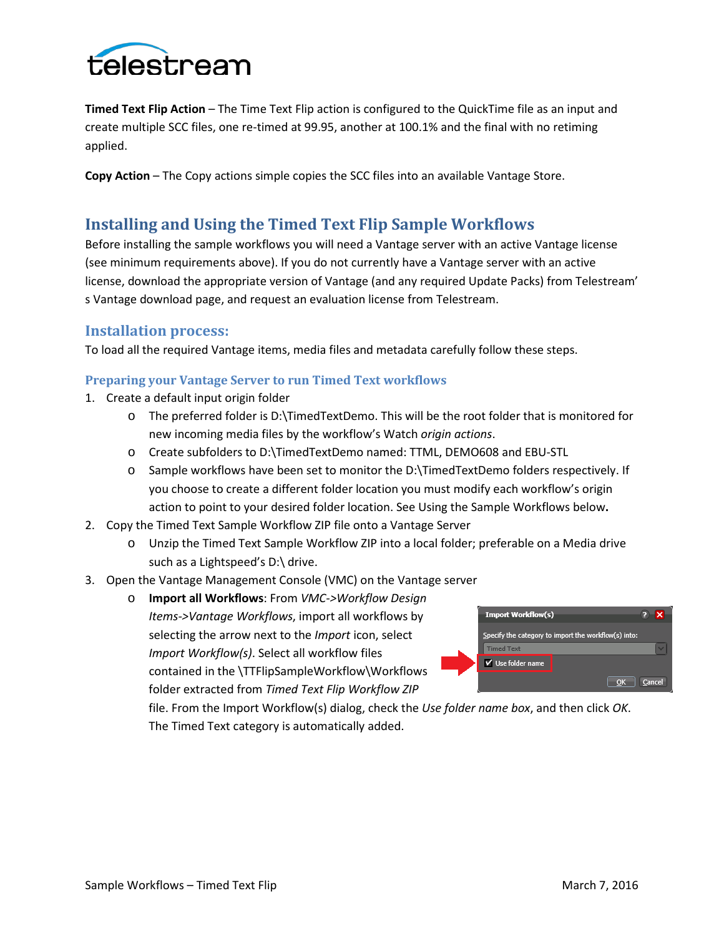

**Timed Text Flip Action** – The Time Text Flip action is configured to the QuickTime file as an input and create multiple SCC files, one re-timed at 99.95, another at 100.1% and the final with no retiming applied.

**Copy Action** – The Copy actions simple copies the SCC files into an available Vantage Store.

# <span id="page-4-0"></span>**Installing and Using the Timed Text Flip Sample Workflows**

Before installing the sample workflows you will need a Vantage server with an active Vantage license (see minimum requirements above). If you do not currently have a Vantage server with an active license, download the appropriate version of Vantage (and any required Update Packs) from Telestream' s Vantage download page, and request an evaluation license from Telestream.

## <span id="page-4-1"></span>**Installation process:**

To load all the required Vantage items, media files and metadata carefully follow these steps.

## <span id="page-4-2"></span>**Preparing your Vantage Server to run Timed Text workflows**

- 1. Create a default input origin folder
	- o The preferred folder is D:\TimedTextDemo. This will be the root folder that is monitored for new incoming media files by the workflow's Watch *origin actions*.
	- o Create subfolders to D:\TimedTextDemo named: TTML, DEMO608 and EBU-STL
	- o Sample workflows have been set to monitor the D:\TimedTextDemo folders respectively. If you choose to create a different folder location you must modify each workflow's origin action to point to your desired folder location. See [Using the Sample Workflows](#page-4-3) below**.**
- 2. Copy the Timed Text Sample Workflow ZIP file onto a Vantage Server
	- o Unzip the Timed Text Sample Workflow ZIP into a local folder; preferable on a Media drive such as a Lightspeed's D:\ drive.
- 3. Open the Vantage Management Console (VMC) on the Vantage server
	- o **Import all Workflows**: From *VMC->Workflow Design Items->Vantage Workflows*, import all workflows by selecting the arrow next to the *Import* icon, select *Import Workflow(s)*. Select all workflow files contained in the \TTFlipSampleWorkflow\Workflows folder extracted from *Timed Text Flip Workflow ZIP*



<span id="page-4-3"></span>file. From the Import Workflow(s) dialog, check the *Use folder name box*, and then click *OK*. The Timed Text category is automatically added.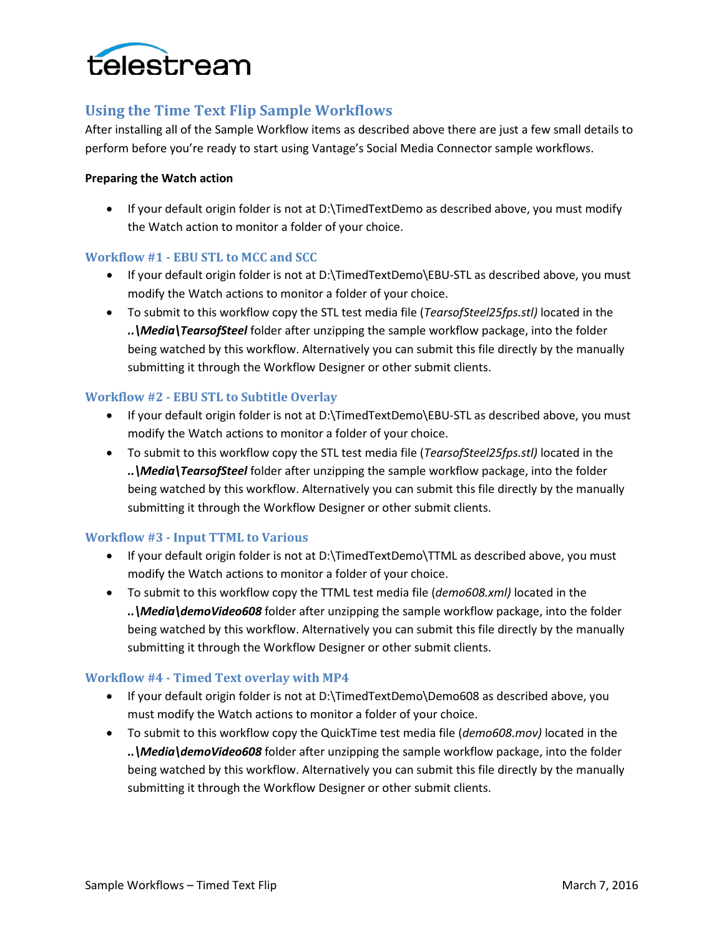

# <span id="page-5-0"></span>**Using the Time Text Flip Sample Workflows**

After installing all of the Sample Workflow items as described above there are just a few small details to perform before you're ready to start using Vantage's Social Media Connector sample workflows.

#### **Preparing the Watch action**

• If your default origin folder is not at D:\TimedTextDemo as described above, you must modify the Watch action to monitor a folder of your choice.

#### <span id="page-5-1"></span>**Workflow #1 - EBU STL to MCC and SCC**

- If your default origin folder is not at D:\TimedTextDemo\EBU-STL as described above, you must modify the Watch actions to monitor a folder of your choice.
- To submit to this workflow copy the STL test media file (*TearsofSteel25fps.stl)* located in the *..\Media\TearsofSteel* folder after unzipping the sample workflow package, into the folder being watched by this workflow. Alternatively you can submit this file directly by the manually submitting it through the Workflow Designer or other submit clients.

## <span id="page-5-2"></span>**Workflow #2 - EBU STL to Subtitle Overlay**

- If your default origin folder is not at D:\TimedTextDemo\EBU-STL as described above, you must modify the Watch actions to monitor a folder of your choice.
- To submit to this workflow copy the STL test media file (*TearsofSteel25fps.stl)* located in the *..\Media\TearsofSteel* folder after unzipping the sample workflow package, into the folder being watched by this workflow. Alternatively you can submit this file directly by the manually submitting it through the Workflow Designer or other submit clients.

#### <span id="page-5-3"></span>**Workflow #3 - Input TTML to Various**

- If your default origin folder is not at D:\TimedTextDemo\TTML as described above, you must modify the Watch actions to monitor a folder of your choice.
- To submit to this workflow copy the TTML test media file (*demo608.xml)* located in the *..\Media\demoVideo608* folder after unzipping the sample workflow package, into the folder being watched by this workflow. Alternatively you can submit this file directly by the manually submitting it through the Workflow Designer or other submit clients.

#### <span id="page-5-4"></span>**Workflow #4 - Timed Text overlay with MP4**

- If your default origin folder is not at D:\TimedTextDemo(Demo608 as described above, you must modify the Watch actions to monitor a folder of your choice.
- To submit to this workflow copy the QuickTime test media file (*demo608.mov)* located in the *..\Media\demoVideo608* folder after unzipping the sample workflow package, into the folder being watched by this workflow. Alternatively you can submit this file directly by the manually submitting it through the Workflow Designer or other submit clients.